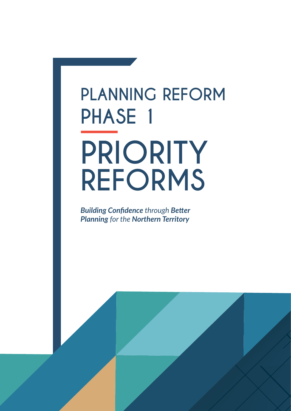# **PLANNING REFORM PHASE 1 PRIORITY REFORMS**

*Building Confidence through Better Planning for the Northern Territory*

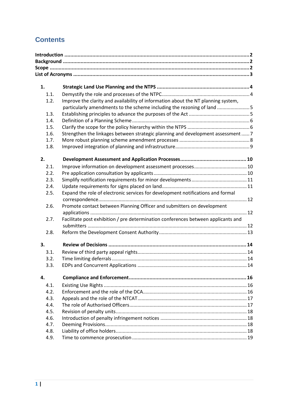# **Contents**

| 1.   |                                                                                   |  |
|------|-----------------------------------------------------------------------------------|--|
| 1.1. |                                                                                   |  |
| 1.2. | Improve the clarity and availability of information about the NT planning system, |  |
|      | particularly amendments to the scheme including the rezoning of land 5            |  |
| 1.3. |                                                                                   |  |
| 1.4. |                                                                                   |  |
| 1.5. |                                                                                   |  |
| 1.6. | Strengthen the linkages between strategic planning and development assessment  7  |  |
| 1.7. |                                                                                   |  |
| 1.8. |                                                                                   |  |
| 2.   |                                                                                   |  |
|      |                                                                                   |  |
| 2.1. |                                                                                   |  |
| 2.2. |                                                                                   |  |
| 2.3. |                                                                                   |  |
| 2.4. |                                                                                   |  |
| 2.5. | Expand the role of electronic services for development notifications and formal   |  |
|      | Promote contact between Planning Officer and submitters on development            |  |
| 2.6. |                                                                                   |  |
| 2.7. | Facilitate post exhibition / pre determination conferences between applicants and |  |
|      |                                                                                   |  |
| 2.8. |                                                                                   |  |
|      |                                                                                   |  |
| 3.   |                                                                                   |  |
| 3.1. |                                                                                   |  |
| 3.2. |                                                                                   |  |
| 3.3. |                                                                                   |  |
| 4.   |                                                                                   |  |
| 4.1. |                                                                                   |  |
| 4.2. |                                                                                   |  |
| 4.3. |                                                                                   |  |
| 4.4. |                                                                                   |  |
| 4.5. |                                                                                   |  |
| 4.6. |                                                                                   |  |
| 4.7. |                                                                                   |  |
| 4.8. |                                                                                   |  |
| 4.9. |                                                                                   |  |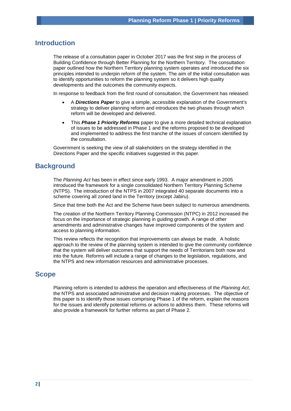# <span id="page-2-0"></span>**Introduction**

The release of a consultation paper in October 2017 was the first step in the process of Building Confidence through Better Planning for the Northern Territory. The consultation paper outlined how the Northern Territory planning system operates and introduced the six principles intended to underpin reform of the system. The aim of the initial consultation was to identify opportunities to reform the planning system so it delivers high quality developments and the outcomes the community expects.

In response to feedback from the first round of consultation, the Government has released:

- A *Directions Paper* to give a simple, accessible explanation of the Government's strategy to deliver planning reform and introduces the two phases through which reform will be developed and delivered.
- This *Phase 1 Priority Reforms* paper to give a more detailed technical explanation of issues to be addressed in Phase 1 and the reforms proposed to be developed and implemented to address the first tranche of the issues of concern identified by the consultation.

Government is seeking the view of all stakeholders on the strategy identified in the Directions Paper and the specific initiatives suggested in this paper.

# <span id="page-2-1"></span>**Background**

The *Planning Act* has been in effect since early 1993. A major amendment in 2005 introduced the framework for a single consolidated Northern Territory Planning Scheme (NTPS). The introduction of the NTPS in 2007 integrated 40 separate documents into a scheme covering all zoned land in the Territory (except Jabiru).

Since that time both the Act and the Scheme have been subject to numerous amendments.

The creation of the Northern Territory Planning Commission (NTPC) in 2012 increased the focus on the importance of strategic planning in guiding growth. A range of other amendments and administrative changes have improved components of the system and access to planning information.

This review reflects the recognition that improvements can always be made. A holistic approach to the review of the planning system is intended to give the community confidence that the system will deliver outcomes that support the needs of Territorians both now and into the future. Reforms will include a range of changes to the legislation, regulations, and the NTPS and new information resources and administrative processes.

# <span id="page-2-2"></span>**Scope**

Planning reform is intended to address the operation and effectiveness of the *Planning Act*, the NTPS and associated administrative and decision making processes. The objective of this paper is to identify those issues comprising Phase 1 of the reform, explain the reasons for the issues and identify potential reforms or actions to address them. These reforms will also provide a framework for further reforms as part of Phase 2.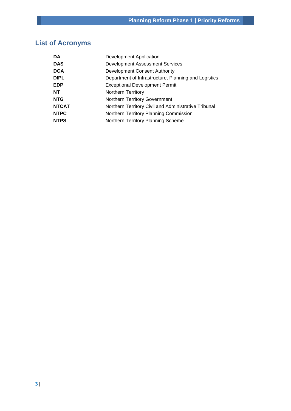# <span id="page-3-0"></span>**List of Acronyms**

| <b>DA</b>    | Development Application                              |
|--------------|------------------------------------------------------|
| <b>DAS</b>   | <b>Development Assessment Services</b>               |
| <b>DCA</b>   | Development Consent Authority                        |
| <b>DIPL</b>  | Department of Infrastructure, Planning and Logistics |
| <b>EDP</b>   | <b>Exceptional Development Permit</b>                |
| <b>NT</b>    | <b>Northern Territory</b>                            |
| <b>NTG</b>   | Northern Territory Government                        |
| <b>NTCAT</b> | Northern Territory Civil and Administrative Tribunal |
| <b>NTPC</b>  | Northern Territory Planning Commission               |
| <b>NTPS</b>  | Northern Territory Planning Scheme                   |
|              |                                                      |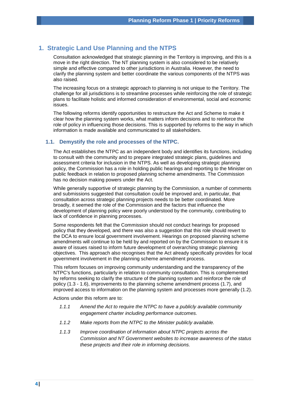# <span id="page-4-0"></span>**1. Strategic Land Use Planning and the NTPS**

Consultation acknowledged that strategic planning in the Territory is improving, and this is a move in the right direction. The NT planning system is also considered to be relatively simple and effective compared to other jurisdictions in Australia. However, the need to clarify the planning system and better coordinate the various components of the NTPS was also raised.

The increasing focus on a strategic approach to planning is not unique to the Territory. The challenge for all jurisdictions is to streamline processes while reinforcing the role of strategic plans to facilitate holistic and informed consideration of environmental, social and economic issues.

The following reforms identify opportunities to restructure the Act and Scheme to make it clear how the planning system works, what matters inform decisions and to reinforce the role of policy in influencing those decisions. This is supported by reforms to the way in which information is made available and communicated to all stakeholders.

# <span id="page-4-1"></span>**1.1. Demystify the role and processes of the NTPC.**

The Act establishes the NTPC as an independent body and identifies its functions, including to consult with the community and to prepare integrated strategic plans, guidelines and assessment criteria for inclusion in the NTPS. As well as developing strategic planning policy, the Commission has a role in holding public hearings and reporting to the Minister on public feedback in relation to proposed planning scheme amendments. The Commission has no decision making powers under the Act.

While generally supportive of strategic planning by the Commission, a number of comments and submissions suggested that consultation could be improved and, in particular, that consultation across strategic planning projects needs to be better coordinated. More broadly, it seemed the role of the Commission and the factors that influence the development of planning policy were poorly understood by the community, contributing to lack of confidence in planning processes.

Some respondents felt that the Commission should not conduct hearings for proposed policy that they developed, and there was also a suggestion that this role should revert to the DCA to ensure local government involvement. Hearings on proposed planning scheme amendments will continue to be held by and reported on by the Commission to ensure it is aware of issues raised to inform future development of overarching strategic planning objectives. This approach also recognises that the Act already specifically provides for local government involvement in the planning scheme amendment process.

This reform focuses on improving community understanding and the transparency of the NTPC's functions, particularly in relation to community consultation. This is complemented by reforms seeking to clarify the structure of the planning system and reinforce the role of policy (1.3 - 1.6), improvements to the planning scheme amendment process (1.7), and improved access to information on the planning system and processes more generally (1.2).

- *1.1.1 Amend the Act to require the NTPC to have a publicly available community engagement charter including performance outcomes.*
- *1.1.2 Make reports from the NTPC to the Minister publicly available.*
- *1.1.3 Improve coordination of information about NTPC projects across the Commission and NT Government websites to increase awareness of the status these projects and their role in informing decisions.*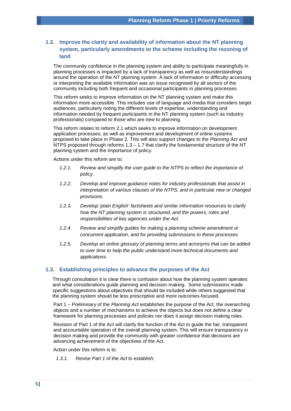# <span id="page-5-0"></span>**1.2. Improve the clarity and availability of information about the NT planning system, particularly amendments to the scheme including the rezoning of land**

The community confidence in the planning system and ability to participate meaningfully in planning processes is impacted by a lack of transparency as well as misunderstandings around the operation of the NT planning system. A lack of information or difficulty accessing or interpreting the available information was an issue recognised by all sectors of the community including both frequent and occasional participants in planning processes.

This reform seeks to improve information on the NT planning system and make this information more accessible. This includes use of language and media that considers target audiences, particularly noting the different levels of expertise, understanding and information needed by frequent participants in the NT planning system (such as industry professionals) compared to those who are new to planning.

This reform relates to reform 2.1 which seeks to improve information on development application processes, as well as improvement and development of online systems proposed to take place in Phase 2. This will also support changes to the *Planning Act* and NTPS proposed through reforms  $1.3 - 1.7$  that clarify the fundamental structure of the NT planning system and the importance of policy.

Actions under this reform are to:

- *1.2.1. Review and simplify the user guide to the NTPS to reflect the importance of policy.*
- *1.2.2. Develop and improve guidance notes for industry professionals that assist in interpretation of various clauses of the NTPS, and in particular new or changed provisions.*
- *1.2.3. Develop 'plain English' factsheets and similar information resources to clarify how the NT planning system is structured, and the powers, roles and responsibilities of key agencies under the Act.*
- *1.2.4. Review and simplify guides for making a planning scheme amendment or concurrent application, and for providing submissions to these processes.*
- *1.2.5. Develop an online glossary of planning terms and acronyms that can be added to over time to help the public understand more technical documents and applications.*

# <span id="page-5-1"></span>**1.3. Establishing principles to advance the purposes of the Act**

Through consultation it is clear there is confusion about how the planning system operates and what considerations guide planning and decision making. Some submissions made specific suggestions about objectives that should be included while others suggested that the planning system should be less prescriptive and more outcomes-focused.

Part 1 – Preliminary of the *Planning Act* establishes the purpose of the Act, the overarching objects and a number of mechanisms to achieve the objects but does not define a clear framework for planning processes and policies nor does it assign decision making roles.

Revision of Part 1 of the Act will clarify the function of the Act to guide the fair, transparent and accountable operation of the overall planning system. This will ensure transparency in decision making and provide the community with greater confidence that decisions are advancing achievement of the objectives of the Act.

Action under this reform is to:

*1.3.1. Revise Part 1 of the Act to establish:*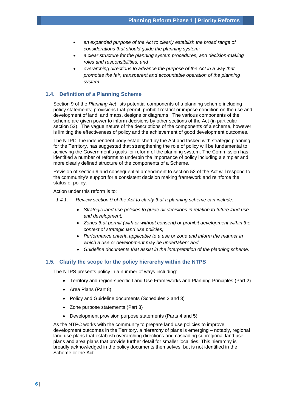- *an expanded purpose of the Act to clearly establish the broad range of considerations that should guide the planning system;*
- *a clear structure for the planning system procedures, and decision-making roles and responsibilities; and*
- *overarching directions to advance the purpose of the Act in a way that promotes the fair, transparent and accountable operation of the planning system.*

# <span id="page-6-0"></span>**1.4. Definition of a Planning Scheme**

Section 9 of the *Planning Act* lists potential components of a planning scheme including policy statements; provisions that permit, prohibit restrict or impose condition on the use and development of land; and maps, designs or diagrams. The various components of the scheme are given power to inform decisions by other sections of the Act (in particular section 52). The vague nature of the descriptions of the components of a scheme, however, is limiting the effectiveness of policy and the achievement of good development outcomes.

The NTPC, the independent body established by the Act and tasked with strategic planning for the Territory, has suggested that strengthening the role of policy will be fundamental to achieving the Government's goals for reform of the planning system. The Commission has identified a number of reforms to underpin the importance of policy including a simpler and more clearly defined structure of the components of a Scheme.

Revision of section 9 and consequential amendment to section 52 of the Act will respond to the community's support for a consistent decision making framework and reinforce the status of policy.

Action under this reform is to:

- *1.4.1. Review section 9 of the Act to clarify that a planning scheme can include:*
	- *Strategic land use policies to guide all decisions in relation to future land use and development;*
	- *Zones that permit (with or without consent) or prohibit development within the context of strategic land use policies;*
	- *Performance criteria applicable to a use or zone and inform the manner in which a use or development may be undertaken; and*
	- *Guideline documents that assist in the interpretation of the planning scheme.*

#### <span id="page-6-1"></span>**1.5. Clarify the scope for the policy hierarchy within the NTPS**

The NTPS presents policy in a number of ways including:

- Territory and region-specific Land Use Frameworks and Planning Principles (Part 2)
- Area Plans (Part 8)
- Policy and Guideline documents (Schedules 2 and 3)
- Zone purpose statements (Part 3)
- Development provision purpose statements (Parts 4 and 5).

As the NTPC works with the community to prepare land use policies to improve development outcomes in the Territory, a hierarchy of plans is emerging – notably, regional land use plans that establish overarching directions and cascading subregional land use plans and area plans that provide further detail for smaller localities. This hierarchy is broadly acknowledged in the policy documents themselves, but is not identified in the Scheme or the Act.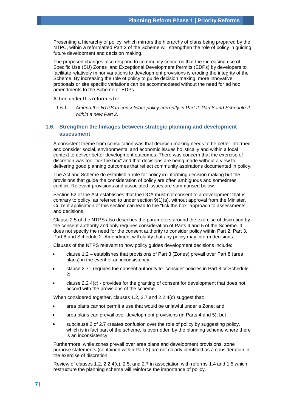Presenting a hierarchy of policy, which mirrors the hierarchy of plans being prepared by the NTPC, within a reformatted Part 2 of the Scheme will strengthen the role of policy in guiding future development and decision making.

The proposed changes also respond to community concerns that the increasing use of Specific Use (SU) Zones and Exceptional Development Permits (EDPs) by developers to facilitate relatively minor variations to development provisions is eroding the integrity of the Scheme. By increasing the role of policy to guide decision making, more innovative proposals or site specific variations can be accommodated without the need for ad hoc amendments to the Scheme or EDPs.

Action under this reform is to:

*1.5.1. Amend the NTPS to consolidate policy currently in Part 2, Part 8 and Schedule 2 within a new Part 2.*

# <span id="page-7-0"></span>**1.6. Strengthen the linkages between strategic planning and development assessment**

A consistent theme from consultation was that decision making needs to be better informed and consider social, environmental and economic issues holistically and within a local context to deliver better development outcomes. There was concern that the exercise of discretion was too "tick the box" and that decisions are being made without a view to delivering good planning outcomes that reflect community aspirations documented in policy.

The Act and Scheme do establish a role for policy in informing decision making but the provisions that guide the consideration of policy are often ambiguous and sometimes conflict. Relevant provisions and associated issues are summarised below.

Section 52 of the Act establishes that the DCA must not consent to a development that is contrary to policy, as referred to under section 9(1)(a), without approval from the Minister. Current application of this section can lead to the "tick the box" approach to assessments and decisions.

Clause 2.5 of the NTPS also describes the parameters around the exercise of discretion by the consent authority and only requires consideration of Parts 4 and 5 of the Scheme. It does not specify the need for the consent authority to consider policy within Part 2, Part 3, Part 8 and Schedule 2. Amendment will clarify that any policy may inform decisions.

Clauses of the NTPS relevant to how policy guides development decisions include:

- clause 1.2 establishes that provisions of Part 3 (Zones) prevail over Part 8 (area plans) in the event of an inconsistency;
- clause 2.7 requires the consent authority to consider policies in Part 8 or Schedule 2;
- clause 2.2 4(c) provides for the granting of consent for development that does not accord with the provisions of the scheme.

When considered together, clauses 1.2, 2.7 and 2.2 4(c) suggest that:

- area plans cannot permit a use that would be unlawful under a Zone; and
- area plans can prevail over development provisions (in Parts 4 and 5); but
- subclause 2 of 2.7 creates confusion over the role of policy by suggesting policy, which is in fact part of the scheme, is overridden by the planning scheme where there is an inconsistency

Furthermore, while zones prevail over area plans and development provisions, zone purpose statements (contained within Part 3) are not clearly identified as a consideration in the exercise of discretion.

Review of clauses 1.2, 2.2 4(c), 2.5, and 2.7 in association with reforms 1.4 and 1.5 which restructure the planning scheme will reinforce the importance of policy.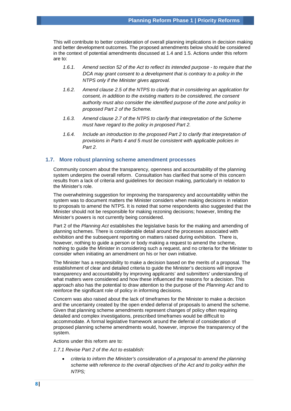This will contribute to better consideration of overall planning implications in decision making and better development outcomes. The proposed amendments below should be considered in the context of potential amendments discussed at 1.4 and 1.5. Actions under this reform are to:

- *1.6.1. Amend section 52 of the Act to reflect its intended purpose to require that the DCA may grant consent to a development that is contrary to a policy in the NTPS only if the Minister gives approval.*
- *1.6.2. Amend clause 2.5 of the NTPS to clarify that in considering an application for consent, in addition to the existing matters to be considered, the consent authority must also consider the identified purpose of the zone and policy in proposed Part 2 of the Scheme.*
- *1.6.3. Amend clause 2.7 of the NTPS to clarify that interpretation of the Scheme must have regard to the policy in proposed Part 2.*
- *1.6.4. Include an introduction to the proposed Part 2 to clarify that interpretation of provisions in Parts 4 and 5 must be consistent with applicable policies in Part 2.*

# <span id="page-8-0"></span>**1.7. More robust planning scheme amendment processes**

Community concern about the transparency, openness and accountability of the planning system underpins the overall reform. Consultation has clarified that some of this concern results from a lack of criteria and guidelines for decision making, particularly in relation to the Minister's role.

The overwhelming suggestion for improving the transparency and accountability within the system was to document matters the Minister considers when making decisions in relation to proposals to amend the NTPS. It is noted that some respondents also suggested that the Minister should not be responsible for making rezoning decisions; however, limiting the Minister's powers is not currently being considered.

Part 2 of the *Planning Act* establishes the legislative basis for the making and amending of planning schemes. There is considerable detail around the processes associated with exhibition and the subsequent reporting on matters raised during exhibition. There is, however, nothing to guide a person or body making a request to amend the scheme, nothing to guide the Minister in considering such a request, and no criteria for the Minister to consider when initiating an amendment on his or her own initiative.

The Minister has a responsibility to make a decision based on the merits of a proposal. The establishment of clear and detailed criteria to guide the Minister's decisions will improve transparency and accountability by improving applicants' and submitters' understanding of what matters were considered and how these influenced the reasons for a decision. This approach also has the potential to draw attention to the purpose of the *Planning Act* and to reinforce the significant role of policy in informing decisions.

Concern was also raised about the lack of timeframes for the Minister to make a decision and the uncertainty created by the open ended deferral of proposals to amend the scheme. Given that planning scheme amendments represent changes of policy often requiring detailed and complex investigations, prescribed timeframes would be difficult to accommodate. A formal legislative framework around the deferral of consideration of proposed planning scheme amendments would, however, improve the transparency of the system.

Actions under this reform are to:

*1.7.1 Revise Part 2 of the Act to establish:*

• *criteria to inform the Minister's consideration of a proposal to amend the planning scheme with reference to the overall objectives of the Act and to policy within the NTPS;*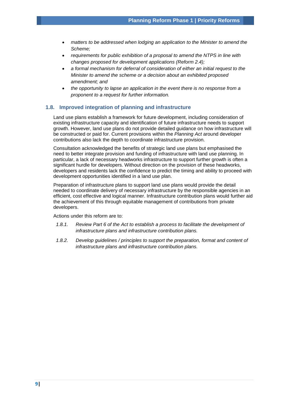- *matters to be addressed when lodging an application to the Minister to amend the Scheme;*
- *requirements for public exhibition of a proposal to amend the NTPS in line with changes proposed for development applications (Reform 2.4);*
- *a formal mechanism for deferral of consideration of either an initial request to the Minister to amend the scheme or a decision about an exhibited proposed amendment; and*
- *the opportunity to lapse an application in the event there is no response from a proponent to a request for further information.*

#### <span id="page-9-0"></span>**1.8. Improved integration of planning and infrastructure**

Land use plans establish a framework for future development, including consideration of existing infrastructure capacity and identification of future infrastructure needs to support growth. However, land use plans do not provide detailed guidance on how infrastructure will be constructed or paid for. Current provisions within the *Planning Act* around developer contributions also lack the depth to coordinate infrastructure provision.

Consultation acknowledged the benefits of strategic land use plans but emphasised the need to better integrate provision and funding of infrastructure with land use planning. In particular, a lack of necessary headworks infrastructure to support further growth is often a significant hurdle for developers. Without direction on the provision of these headworks, developers and residents lack the confidence to predict the timing and ability to proceed with development opportunities identified in a land use plan.

Preparation of infrastructure plans to support land use plans would provide the detail needed to coordinate delivery of necessary infrastructure by the responsible agencies in an efficient, cost effective and logical manner. Infrastructure contribution plans would further aid the achievement of this through equitable management of contributions from private developers.

- *1.8.1. Review Part 6 of the Act to establish a process to facilitate the development of infrastructure plans and infrastructure contribution plans.*
- *1.8.2. Develop guidelines / principles to support the preparation, format and content of infrastructure plans and infrastructure contribution plans.*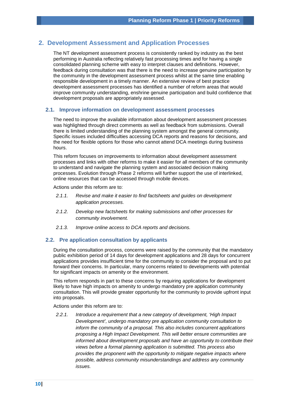# <span id="page-10-0"></span>**2. Development Assessment and Application Processes**

The NT development assessment process is consistently ranked by industry as the best performing in Australia reflecting relatively fast processing times and for having a single consolidated planning scheme with easy to interpret clauses and definitions. However, feedback during consultation was that there is the need to increase genuine participation by the community in the development assessment process whilst at the same time enabling responsible development in a timely manner. An extensive review of best practice development assessment processes has identified a number of reform areas that would improve community understanding, enshrine genuine participation and build confidence that development proposals are appropriately assessed.

#### <span id="page-10-1"></span>**2.1. Improve information on development assessment processes**

The need to improve the available information about development assessment processes was highlighted through direct comments as well as feedback from submissions. Overall there is limited understanding of the planning system amongst the general community. Specific issues included difficulties accessing DCA reports and reasons for decisions, and the need for flexible options for those who cannot attend DCA meetings during business hours.

This reform focuses on improvements to information about development assessment processes and links with other reforms to make it easier for all members of the community to understand and navigate the planning system and associated decision making processes. Evolution through Phase 2 reforms will further support the use of interlinked, online resources that can be accessed through mobile devices.

Actions under this reform are to:

- *2.1.1. Revise and make it easier to find factsheets and guides on development application processes.*
- *2.1.2. Develop new factsheets for making submissions and other processes for community involvement.*
- *2.1.3. Improve online access to DCA reports and decisions.*

#### <span id="page-10-2"></span>**2.2. Pre application consultation by applicants**

During the consultation process, concerns were raised by the community that the mandatory public exhibition period of 14 days for development applications and 28 days for concurrent applications provides insufficient time for the community to consider the proposal and to put forward their concerns. In particular, many concerns related to developments with potential for significant impacts on amenity or the environment.

This reform responds in part to these concerns by requiring applications for development likely to have high impacts on amenity to undergo mandatory pre application community consultation. This will provide greater opportunity for the community to provide upfront input into proposals.

Actions under this reform are to:

*2.2.1. Introduce a requirement that a new category of development, 'High Impact Development', undergo mandatory pre application community consultation to inform the community of a proposal. This also includes concurrent applications proposing a High Impact Development. This will better ensure communities are informed about development proposals and have an opportunity to contribute their views before a formal planning application is submitted. This process also provides the proponent with the opportunity to mitigate negative impacts where possible, address community misunderstandings and address any community issues.*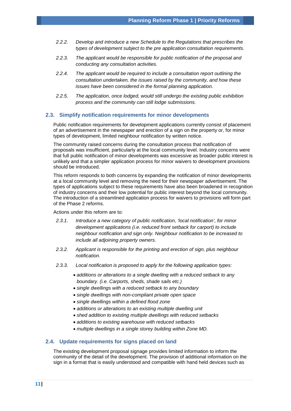- *2.2.2. Develop and introduce a new Schedule to the Regulations that prescribes the types of development subject to the pre application consultation requirements.*
- *2.2.3. The applicant would be responsible for public notification of the proposal and conducting any consultation activities.*
- *2.2.4. The applicant would be required to include a consultation report outlining the consultation undertaken, the issues raised by the community, and how these issues have been considered in the formal planning application.*
- *2.2.5. The application, once lodged, would still undergo the existing public exhibition process and the community can still lodge submissions.*

#### <span id="page-11-0"></span>**2.3. Simplify notification requirements for minor developments**

Public notification requirements for development applications currently consist of placement of an advertisement in the newspaper and erection of a sign on the property or, for minor types of development, limited neighbour notification by written notice.

The community raised concerns during the consultation process that notification of proposals was insufficient, particularly at the local community level. Industry concerns were that full public notification of minor developments was excessive as broader public interest is unlikely and that a simpler application process for minor waivers to development provisions should be introduced.

This reform responds to both concerns by expanding the notification of minor developments at a local community level and removing the need for their newspaper advertisement. The types of applications subject to these requirements have also been broadened in recognition of industry concerns and their low potential for public interest beyond the local community. The introduction of a streamlined application process for waivers to provisions will form part of the Phase 2 reforms.

Actions under this reform are to:

- *2.3.1. Introduce a new category of public notification, 'local notification', for minor development applications (i.e. reduced front setback for carport) to include neighbour notification and sign only. Neighbour notification to be increased to include all adjoining property owners.*
- *2.3.2. Applicant is responsible for the printing and erection of sign, plus neighbour notification.*
- *2.3.3. Local notification is proposed to apply for the following application types:*
	- *additions or alterations to a single dwelling with a reduced setback to any boundary. (i.e. Carports, sheds, shade sails etc.)*
	- *single dwellings with a reduced setback to any boundary*
	- *single dwellings with non-compliant private open space*
	- *single dwellings within a defined flood zone*
	- *additions or alterations to an existing multiple dwelling unit*
	- *shed addition to existing multiple dwellings with reduced setbacks*
	- *additions to existing warehouse with reduced setbacks*
	- *multiple dwellings in a single storey building within Zone MD.*

#### <span id="page-11-1"></span>**2.4. Update requirements for signs placed on land**

The existing development proposal signage provides limited information to inform the community of the detail of the development. The provision of additional information on the sign in a format that is easily understood and compatible with hand held devices such as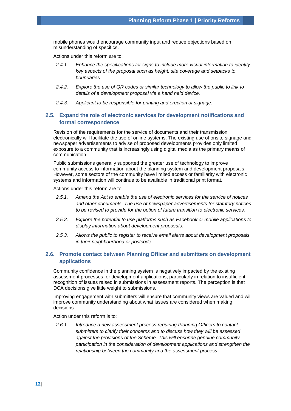mobile phones would encourage community input and reduce objections based on misunderstanding of specifics.

Actions under this reform are to:

- *2.4.1. Enhance the specifications for signs to include more visual information to identify key aspects of the proposal such as height, site coverage and setbacks to boundaries.*
- *2.4.2. Explore the use of QR codes or similar technology to allow the public to link to details of a development proposal via a hand held device.*
- *2.4.3. Applicant to be responsible for printing and erection of signage.*

# <span id="page-12-0"></span>**2.5. Expand the role of electronic services for development notifications and formal correspondence**

Revision of the requirements for the service of documents and their transmission electronically will facilitate the use of online systems. The existing use of onsite signage and newspaper advertisements to advise of proposed developments provides only limited exposure to a community that is increasingly using digital media as the primary means of communication.

Public submissions generally supported the greater use of technology to improve community access to information about the planning system and development proposals. However, some sectors of the community have limited access or familiarity with electronic systems and information will continue to be available in traditional print format.

Actions under this reform are to:

- *2.5.1. Amend the Act to enable the use of electronic services for the service of notices and other documents. The use of newspaper advertisements for statutory notices to be revised to provide for the option of future transition to electronic services.*
- *2.5.2. Explore the potential to use platforms such as Facebook or mobile applications to display information about development proposals.*
- *2.5.3. Allows the public to register to receive email alerts about development proposals in their neighbourhood or postcode.*

# <span id="page-12-1"></span>**2.6. Promote contact between Planning Officer and submitters on development applications**

Community confidence in the planning system is negatively impacted by the existing assessment processes for development applications, particularly in relation to insufficient recognition of issues raised in submissions in assessment reports. The perception is that DCA decisions give little weight to submissions.

Improving engagement with submitters will ensure that community views are valued and will improve community understanding about what issues are considered when making decisions.

Action under this reform is to:

<span id="page-12-2"></span>*2.6.1. Introduce a new assessment process requiring Planning Officers to contact submitters to clarify their concerns and to discuss how they will be assessed against the provisions of the Scheme. This will enshrine genuine community participation in the consideration of development applications and strengthen the relationship between the community and the assessment process.*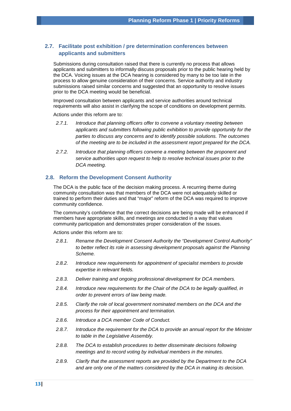# **2.7. Facilitate post exhibition / pre determination conferences between applicants and submitters**

Submissions during consultation raised that there is currently no process that allows applicants and submitters to informally discuss proposals prior to the public hearing held by the DCA. Voicing issues at the DCA hearing is considered by many to be too late in the process to allow genuine consideration of their concerns. Service authority and industry submissions raised similar concerns and suggested that an opportunity to resolve issues prior to the DCA meeting would be beneficial.

Improved consultation between applicants and service authorities around technical requirements will also assist in clarifying the scope of conditions on development permits.

Actions under this reform are to:

- *2.7.1. Introduce that planning officers offer to convene a voluntary meeting between applicants and submitters following public exhibition to provide opportunity for the parties to discuss any concerns and to identify possible solutions. The outcomes of the meeting are to be included in the assessment report prepared for the DCA.*
- <span id="page-13-0"></span>*2.7.2. Introduce that planning officers convene a meeting between the proponent and service authorities upon request to help to resolve technical issues prior to the DCA meeting.*

# **2.8. Reform the Development Consent Authority**

The DCA is the public face of the decision making process. A recurring theme during community consultation was that members of the DCA were not adequately skilled or trained to perform their duties and that "major" reform of the DCA was required to improve community confidence.

The community's confidence that the correct decisions are being made will be enhanced if members have appropriate skills, and meetings are conducted in a way that values community participation and demonstrates proper consideration of the issues.

- *2.8.1. Rename the Development Consent Authority the "Development Control Authority" to better reflect its role in assessing development proposals against the Planning Scheme.*
- *2.8.2. Introduce new requirements for appointment of specialist members to provide expertise in relevant fields.*
- *2.8.3. Deliver training and ongoing professional development for DCA members.*
- *2.8.4. Introduce new requirements for the Chair of the DCA to be legally qualified, in order to prevent errors of law being made.*
- *2.8.5. Clarify the role of local government nominated members on the DCA and the process for their appointment and termination.*
- *2.8.6. Introduce a DCA member Code of Conduct.*
- *2.8.7. Introduce the requirement for the DCA to provide an annual report for the Minister to table in the Legislative Assembly.*
- *2.8.8. The DCA to establish procedures to better disseminate decisions following meetings and to record voting by individual members in the minutes.*
- *2.8.9. Clarify that the assessment reports are provided by the Department to the DCA and are only one of the matters considered by the DCA in making its decision.*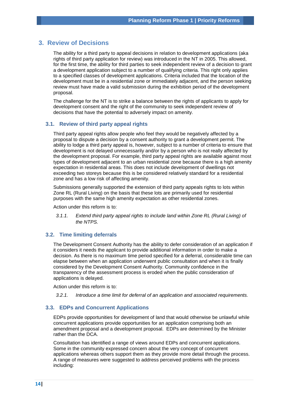# <span id="page-14-0"></span>**3. Review of Decisions**

The ability for a third party to appeal decisions in relation to development applications (aka rights of third party application for review) was introduced in the NT in 2005. This allowed, for the first time, the ability for third parties to seek independent review of a decision to grant a development application subject to a number of qualifying criteria. This right only applies to a specified classes of development applications. Criteria included that the location of the development must be in a residential zone or immediately adjacent, and the person seeking review must have made a valid submission during the exhibition period of the development proposal.

The challenge for the NT is to strike a balance between the rights of applicants to apply for development consent and the right of the community to seek independent review of decisions that have the potential to adversely impact on amenity.

#### <span id="page-14-1"></span>**3.1. Review of third party appeal rights**

Third party appeal rights allow people who feel they would be negatively affected by a proposal to dispute a decision by a consent authority to grant a development permit. The ability to lodge a third party appeal is, however, subject to a number of criteria to ensure that development is not delayed unnecessarily and/or by a person who is not really affected by the development proposal. For example, third party appeal rights are available against most types of development adjacent to an urban residential zone because there is a high amenity expectation in residential areas. This does not include development of dwellings not exceeding two storeys because this is be considered relatively standard for a residential zone and has a low risk of affecting amenity.

Submissions generally supported the extension of third party appeals rights to lots within Zone RL (Rural Living) on the basis that these lots are primarily used for residential purposes with the same high amenity expectation as other residential zones.

Action under this reform is to:

*3.1.1. Extend third party appeal rights to include land within Zone RL (Rural Living) of the NTPS.* 

## <span id="page-14-2"></span>**3.2. Time limiting deferrals**

The Development Consent Authority has the ability to defer consideration of an application if it considers it needs the applicant to provide additional information in order to make a decision. As there is no maximum time period specified for a deferral, considerable time can elapse between when an application underwent public consultation and when it is finally considered by the Development Consent Authority. Community confidence in the transparency of the assessment process is eroded when the public consideration of applications is delayed.

Action under this reform is to:

*3.2.1. Introduce a time limit for deferral of an application and associated requirements.* 

# <span id="page-14-3"></span>**3.3. EDPs and Concurrent Applications**

EDPs provide opportunities for development of land that would otherwise be unlawful while concurrent applications provide opportunities for an application comprising both an amendment proposal and a development proposal. EDPs are determined by the Minister rather than the DCA.

Consultation has identified a range of views around EDPs and concurrent applications. Some in the community expressed concern about the very concept of concurrent applications whereas others support them as they provide more detail through the process. A range of measures were suggested to address perceived problems with the process including: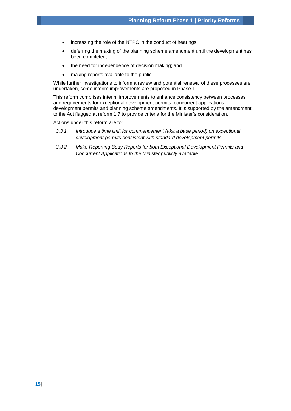- increasing the role of the NTPC in the conduct of hearings;
- deferring the making of the planning scheme amendment until the development has been completed;
- the need for independence of decision making; and
- making reports available to the public.

While further investigations to inform a review and potential renewal of these processes are undertaken, some interim improvements are proposed in Phase 1.

This reform comprises interim improvements to enhance consistency between processes and requirements for exceptional development permits, concurrent applications, development permits and planning scheme amendments. It is supported by the amendment to the Act flagged at reform 1.7 to provide criteria for the Minister's consideration.

- *3.3.1. Introduce a time limit for commencement (aka a base period) on exceptional development permits consistent with standard development permits.*
- *3.3.2. Make Reporting Body Reports for both Exceptional Development Permits and Concurrent Applications to the Minister publicly available.*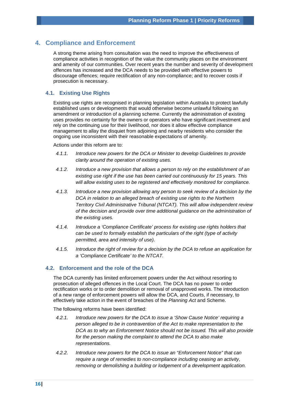# <span id="page-16-0"></span>**4. Compliance and Enforcement**

A strong theme arising from consultation was the need to improve the effectiveness of compliance activities in recognition of the value the community places on the environment and amenity of our communities. Over recent years the number and severity of development offences has increased and the DCA needs to be provided with effective powers to discourage offences; require rectification of any non-compliance; and to recover costs if prosecution is necessary.

# <span id="page-16-1"></span>**4.1. Existing Use Rights**

Existing use rights are recognised in planning legislation within Australia to protect lawfully established uses or developments that would otherwise become unlawful following an amendment or introduction of a planning scheme. Currently the administration of existing uses provides no certainty for the owners or operators who have significant investment and rely on the continuing use for their livelihood, nor does it allow effective compliance management to allay the disquiet from adjoining and nearby residents who consider the ongoing use inconsistent with their reasonable expectations of amenity.

Actions under this reform are to:

- *4.1.1. Introduce new powers for the DCA or Minister to develop Guidelines to provide clarity around the operation of existing uses.*
- *4.1.2. Introduce a new provision that allows a person to rely on the establishment of an existing use right if the use has been carried out continuously for 15 years. This will allow existing uses to be registered and effectively monitored for compliance.*
- *4.1.3. Introduce a new provision allowing any person to seek review of a decision by the DCA in relation to an alleged breach of existing use rights to the Northern Territory Civil Administrative Tribunal (NTCAT). This will allow independent review of the decision and provide over time additional guidance on the administration of the existing uses.*
- *4.1.4. Introduce a 'Compliance Certificate' process for existing use rights holders that can be used to formally establish the particulars of the right (type of activity permitted, area and intensity of use).*
- *4.1.5. Introduce the right of review for a decision by the DCA to refuse an application for a 'Compliance Certificate' to the NTCAT.*

# <span id="page-16-2"></span>**4.2. Enforcement and the role of the DCA**

The DCA currently has limited enforcement powers under the Act without resorting to prosecution of alleged offences in the Local Court. The DCA has no power to order rectification works or to order demolition or removal of unapproved works. The introduction of a new range of enforcement powers will allow the DCA, and Courts, if necessary, to effectively take action in the event of breaches of the *Planning Act* and Scheme.

The following reforms have been identified:

- *4.2.1. Introduce new powers for the DCA to issue a 'Show Cause Notice' requiring a person alleged to be in contravention of the Act to make representation to the DCA as to why an Enforcement Notice should not be issued. This will also provide for the person making the complaint to attend the DCA to also make representations.*
- *4.2.2. Introduce new powers for the DCA to issue an "Enforcement Notice" that can require a range of remedies to non-compliance including ceasing an activity, removing or demolishing a building or lodgement of a development application.*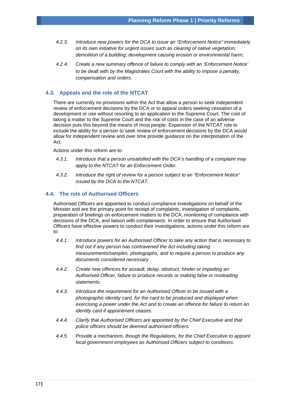- *4.2.3. Introduce new powers for the DCA to issue an "Enforcement Notice" immediately on its own initiative for urgent issues such as clearing of native vegetation; demolition of a building; development causing erosion or environmental harm;*
- *4.2.4. Create a new summary offence of failure to comply with an 'Enforcement Notice' to be dealt with by the Magistrates Court with the ability to impose a penalty, compensation and orders.*

# <span id="page-17-0"></span>**4.3. Appeals and the role of the NTCAT**

There are currently no provisions within the Act that allow a person to seek independent review of enforcement decisions by the DCA or to appeal orders seeking cessation of a development or use without resorting to an application to the Supreme Court. The cost of taking a matter to the Supreme Court and the risk of costs in the case of an adverse decision puts this beyond the means of most people. Expansion of the NTCAT role to include the ability for a person to seek review of enforcement decisions by the DCA would allow for independent review and over time provide guidance on the interpretation of the Act.

Actions under this reform are to:

- *4.3.1. Introduce that a person unsatisfied with the DCA's handling of a complaint may apply to the NTCAT for an Enforcement Order.*
- *4.3.2. Introduce the right of review for a person subject to an "Enforcement Notice" issued by the DCA to the NTCAT.*

## <span id="page-17-1"></span>**4.4. The role of Authorised Officers**

Authorised Officers are appointed to conduct compliance investigations on behalf of the Minister and are the primary point for receipt of complaints, investigation of complaints, preparation of briefings on enforcement matters to the DCA, monitoring of compliance with decisions of the DCA, and liaison with complainants. In order to ensure that Authorised Officers have effective powers to conduct their investigations, actions under this reform are to:

- *4.4.1. Introduce powers for an Authorised Officer to take any action that is necessary to find out if any person has contravened the Act including taking measurements/samples, photographs, and to require a person to produce any documents considered necessary*
- *4.4.2. Create new offences for assault, delay, obstruct, hinder or impeding an Authorised Officer, failure to produce records or making false or misleading statements.*
- *4.4.3. Introduce the requirement for an Authorised Officer to be issued with a photographic identity card, for the card to be produced and displayed when exercising a power under the Act and to create an offence for failure to return an identity card if appointment ceases.*
- *4.4.4. Clarify that Authorised Officers are appointed by the Chief Executive and that police officers should be deemed authorised officers.*
- *4.4.5. Provide a mechanism, though the Regulations, for the Chief Executive to appoint local government employees as Authorised Officers subject to conditions.*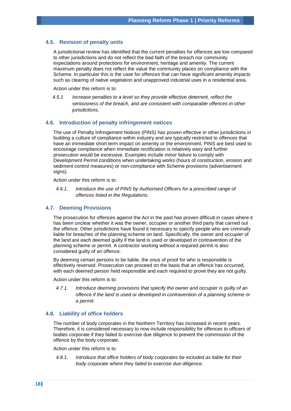#### <span id="page-18-0"></span>**4.5. Revision of penalty units**

A jurisdictional review has identified that the current penalties for offences are low compared to other jurisdictions and do not reflect the bad faith of the breach nor community expectations around protections for environment, heritage and amenity. The current maximum penalty does not reflect the value the community places on compliance with the Scheme. In particular this is the case for offences that can have significant amenity impacts such as clearing of native vegetation and unapproved industrial uses in a residential area.

Action under this reform is to:

*4.5.1 Increase* p*enalties to a level so they provide effective deterrent, reflect the seriousness of the breach, and are consistent with comparable offences in other jurisdictions.*

#### <span id="page-18-1"></span>**4.6. Introduction of penalty infringement notices**

The use of Penalty Infringement Notices (PINS) has proven effective in other jurisdictions in building a culture of compliance within industry and are typically restricted to offences that have an immediate short term impact on amenity or the environment. PINS are best used to encourage compliance when immediate rectification is relatively easy and further prosecution would be excessive. Examples include minor failure to comply with Development Permit conditions when undertaking works (hours of construction, erosion and sediment control measures) or non-compliance with Scheme provisions (advertisement signs).

Action under this reform is to:

*4.6.1. Introduce the use of PINS by Authorised Officers for a prescribed range of offences listed in the Regulations.*

#### <span id="page-18-2"></span>**4.7. Deeming Provisions**

The prosecution for offences against the Act in the past has proven difficult in cases where it has been unclear whether it was the owner, occupier or another third party that carried out the offence. Other jurisdictions have found it necessary to specify people who are criminally liable for breaches of the planning scheme on land. Specifically, the owner and occupier of the land are each deemed guilty if the land is used or developed in contravention of the planning scheme or permit. A contractor working without a required permit is also considered guilty of an offence.

By deeming certain persons to be liable, the onus of proof for who is responsible is effectively reversed. Prosecution can proceed on the basis that an offence has occurred, with each deemed person held responsible and each required to prove they are not guilty.

Action under this reform is to:

*4.7.1. Introduce deeming provisions that specify the owner and occupier is guilty of an offence if the land is used or developed in contravention of a planning scheme or a permit.*

#### <span id="page-18-3"></span>**4.8. Liability of office holders**

The number of body corporates in the Northern Territory has increased in recent years. Therefore, it is considered necessary to now include responsibility for offences to officers of bodies corporate if they failed to exercise due diligence to prevent the commission of the offence by the body corporate.

Action under this reform is to:

*4.8.1. Introduce that office holders of body corporates be included as liable for their body corporate where they failed to exercise due diligence.*